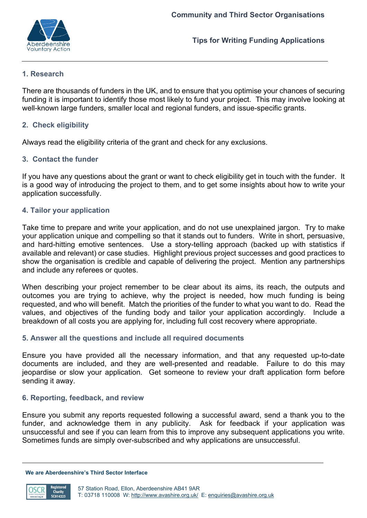

**Tips for Writing Funding Applications**

# **1. Research**

There are thousands of funders in the UK, and to ensure that you optimise your chances of securing funding it is important to identify those most likely to fund your project. This may involve looking at well-known large funders, smaller local and regional funders, and issue-specific grants.

# **2. Check eligibility**

Always read the eligibility criteria of the grant and check for any exclusions.

### **3. Contact the funder**

If you have any questions about the grant or want to check eligibility get in touch with the funder. It is a good way of introducing the project to them, and to get some insights about how to write your application successfully.

# **4. Tailor your application**

Take time to prepare and write your application, and do not use unexplained jargon. Try to make your application unique and compelling so that it stands out to funders. Write in short, persuasive, and hard-hitting emotive sentences. Use a story-telling approach (backed up with statistics if available and relevant) or case studies. Highlight previous project successes and good practices to show the organisation is credible and capable of delivering the project. Mention any partnerships and include any referees or quotes.

When describing your project remember to be clear about its aims, its reach, the outputs and outcomes you are trying to achieve, why the project is needed, how much funding is being requested, and who will benefit. Match the priorities of the funder to what you want to do. Read the values, and objectives of the funding body and tailor your application accordingly. Include a breakdown of all costs you are applying for, including full cost recovery where appropriate.

### **5. Answer all the questions and include all required documents**

Ensure you have provided all the necessary information, and that any requested up-to-date documents are included, and they are well-presented and readable. Failure to do this may jeopardise or slow your application. Get someone to review your draft application form before sending it away.

### **6. Reporting, feedback, and review**

Ensure you submit any reports requested following a successful award, send a thank you to the funder, and acknowledge them in any publicity. Ask for feedback if your application was unsuccessful and see if you can learn from this to improve any subsequent applications you write. Sometimes funds are simply over-subscribed and why applications are unsuccessful.

**We are Aberdeenshire's Third Sector Interface**